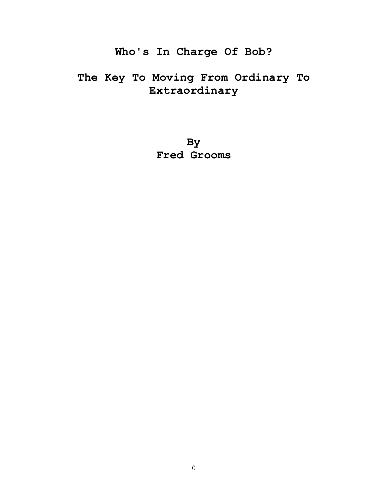# **Who's In Charge Of Bob?**

# **The Key To Moving From Ordinary To Extraordinary**

**By Fred Grooms**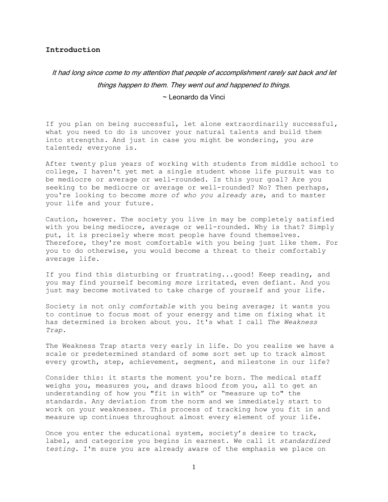## **Introduction**

# It had long since come to my attention that people of accomplishment rarely sat back and let things happen to them. They went out and happened to things. ~ Leonardo da Vinci

If you plan on being successful, let alone extraordinarily successful, what you need to do is uncover your natural talents and build them into strengths. And just in case you might be wondering, you *are* talented; everyone is.

After twenty plus years of working with students from middle school to college, I haven't yet met a single student whose life pursuit was to be mediocre or average or well-rounded. Is this your goal? Are you seeking to be mediocre or average or well-rounded? No? Then perhaps, you're looking to become *more of who you already are*, and to master your life and your future.

Caution, however. The society you live in may be completely satisfied with you being mediocre, average or well-rounded. Why is that? Simply put, it is precisely where most people have found themselves. Therefore, they're most comfortable with you being just like them. For you to do otherwise, you would become a threat to their comfortably average life.

If you find this disturbing or frustrating...good! Keep reading, and you may find yourself becoming *more* irritated, even defiant. And you just may become motivated to take charge of yourself and your life.

Society is not only *comfortable* with you being average; it wants you to continue to focus most of your energy and time on fixing what it has determined is broken about you. It's what I call *The Weakness Trap*.

The Weakness Trap starts very early in life. Do you realize we have a scale or predetermined standard of some sort set up to track almost every growth, step, achievement, segment, and milestone in our life?

Consider this: it starts the moment you're born. The medical staff weighs you, measures you, and draws blood from you, all to get an understanding of how you "fit in with" or "measure up to" the standards. Any deviation from the norm and we immediately start to work on your weaknesses. This process of tracking how you fit in and measure up continues throughout almost every element of your life.

Once you enter the educational system, society's desire to track, label, and categorize you begins in earnest. We call it *standardized testing*. I'm sure you are already aware of the emphasis we place on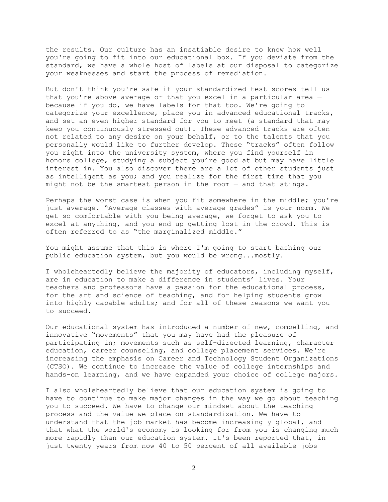the results. Our culture has an insatiable desire to know how well you're going to fit into our educational box. If you deviate from the standard, we have a whole host of labels at our disposal to categorize your weaknesses and start the process of remediation.

But don't think you're safe if your standardized test scores tell us that you're above average or that you excel in a particular area because if you do, we have labels for that too. We're going to categorize your excellence, place you in advanced educational tracks, and set an even higher standard for you to meet (a standard that may keep you continuously stressed out). These advanced tracks are often not related to any desire on your behalf, or to the talents that you personally would like to further develop. These "tracks" often follow you right into the university system, where you find yourself in honors college, studying a subject you're good at but may have little interest in. You also discover there are a lot of other students just as intelligent as you; and you realize for the first time that you might not be the smartest person in the room — and that stings.

Perhaps the worst case is when you fit somewhere in the middle; you're just average. "Average classes with average grades" is your norm. We get so comfortable with you being average, we forget to ask you to excel at anything, and you end up getting lost in the crowd. This is often referred to as "the marginalized middle."

You might assume that this is where I'm going to start bashing our public education system, but you would be wrong...mostly.

I wholeheartedly believe the majority of educators, including myself, are in education to make a difference in students' lives. Your teachers and professors have a passion for the educational process, for the art and science of teaching, and for helping students grow into highly capable adults; and for all of these reasons we want you to succeed.

Our educational system has introduced a number of new, compelling, and innovative "movements" that you may have had the pleasure of participating in; movements such as self-directed learning, character education, career counseling, and college placement services. We're increasing the emphasis on Career and Technology Student Organizations (CTSO). We continue to increase the value of college internships and hands-on learning, and we have expanded your choice of college majors.

I also wholeheartedly believe that our education system is going to have to continue to make major changes in the way we go about teaching you to succeed. We have to change our mindset about the teaching process and the value we place on standardization. We have to understand that the job market has become increasingly global, and that what the world's economy is looking for from you is changing much more rapidly than our education system. It's been reported that, in just twenty years from now 40 to 50 percent of all available jobs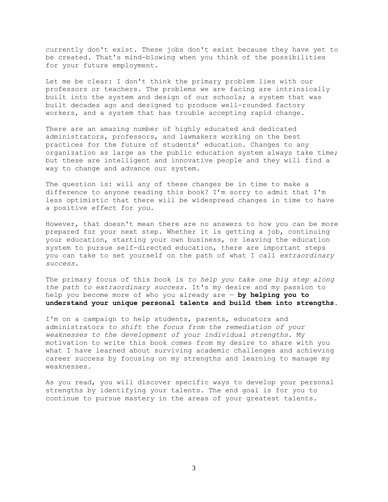currently don't exist. These jobs don't exist because they have yet to be created. That's mind-blowing when you think of the possibilities for your future employment.

Let me be clear: I don't think the primary problem lies with our professors or teachers. The problems we are facing are intrinsically built into the system and design of our schools; a system that was built decades ago and designed to produce well-rounded factory workers, and a system that has trouble accepting rapid change.

There are an amazing number of highly educated and dedicated administrators, professors, and lawmakers working on the best practices for the future of students' education. Changes to any organization as large as the public education system always take time; but these are intelligent and innovative people and they will find a way to change and advance our system.

The question is: will any of these changes be in time to make a difference to anyone reading this book? I'm sorry to admit that I'm less optimistic that there will be widespread changes in time to have a positive effect for *you*.

However, that doesn't mean there are no answers to how you can be more prepared for your next step. Whether it is getting a job, continuing your education, starting your own business, or leaving the education system to pursue self-directed education, there are important steps you can take to set yourself on the path of what I call *extraordinary success*.

The primary focus of this book is *to help you take one big step along the path to extraordinary success*. It's my desire and my passion to help you become more of who you already are — **by helping you to understand your unique personal talents and build them into strengths.**

I'm on a campaign to help students, parents, educators and administrators *to shift the focus from the remediation of your weaknesses to the development of your individual strengths*. My motivation to write this book comes from my desire to share with you what I have learned about surviving academic challenges and achieving career success by focusing on my strengths and learning to manage my weaknesses.

As you read, you will discover specific ways to develop your personal strengths by identifying your talents. The end goal is for you to continue to pursue mastery in the areas of your greatest talents.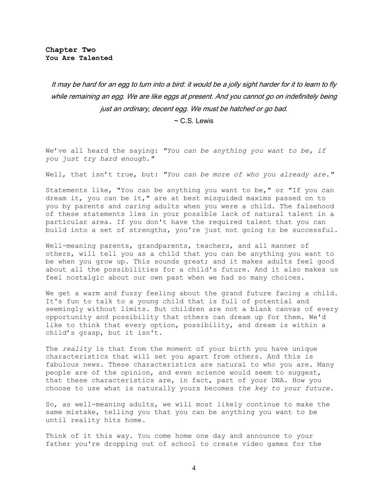It may be hard for an egg to turn into a bird: it would be a jolly sight harder for it to learn to fly while remaining an egg. We are like eggs at present. And you cannot go on indefinitely being just an ordinary, decent egg. We must be hatched or go bad.

 $\sim$  C.S. Lewis

We've all heard the saying: *"You can be anything you want to be, if you just try hard enough."* 

Well, that isn't true, but: *"You can be more of who you already are."*

Statements like, "You can be anything you want to be," or "If you can dream it, you can be it," are at best misguided maxims passed on to you by parents and caring adults when you were a child. The falsehood of these statements lies in your possible lack of natural talent in a particular area. If you don't have the required talent that you can build into a set of strengths, you're just not going to be successful.

Well-meaning parents, grandparents, teachers, and all manner of others, will tell you as a child that you can be anything you want to be when you grow up. This sounds great; and it makes adults feel good about all the possibilities for a child's future. And it also makes us feel nostalgic about our own past when we had so many choices.

We get a warm and fuzzy feeling about the grand future facing a child. It's fun to talk to a young child that is full of potential and seemingly without limits. But children are not a blank canvas of every opportunity and possibility that others can dream up for them. We'd like to think that every option, possibility, and dream is within a child's grasp, but it isn't.

The *reality* is that from the moment of your birth you have unique characteristics that will set you apart from others. And this is fabulous news. These characteristics are natural to who you are. Many people are of the opinion, and even science would seem to suggest, that these characteristics are, in fact, part of your DNA. How you choose to use what is naturally yours becomes *the key to your future*.

So, as well-meaning adults, we will most likely continue to make the same mistake, telling you that you can be anything you want to be until reality hits home.

Think of it this way. You come home one day and announce to your father you're dropping out of school to create video games for the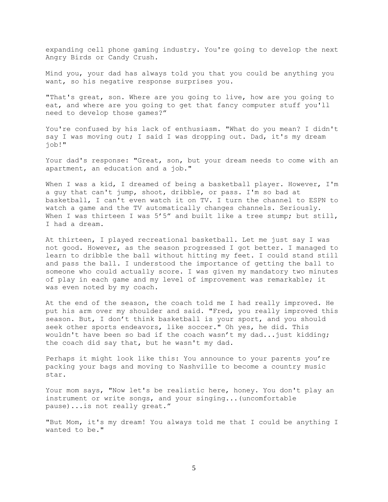expanding cell phone gaming industry. You're going to develop the next Angry Birds or Candy Crush.

Mind you, your dad has always told you that you could be anything you want, so his negative response surprises you.

"That's great, son. Where are you going to live, how are you going to eat, and where are you going to get that fancy computer stuff you'll need to develop those games?"

You're confused by his lack of enthusiasm. "What do you mean? I didn't say I was moving out; I said I was dropping out. Dad, it's my dream job!"

Your dad's response: "Great, son, but your dream needs to come with an apartment, an education and a job."

When I was a kid, I dreamed of being a basketball player. However, I'm a guy that can't jump, shoot, dribble, or pass. I'm so bad at basketball, I can't even watch it on TV. I turn the channel to ESPN to watch a game and the TV automatically changes channels. Seriously. When I was thirteen I was 5'5" and built like a tree stump; but still, I had a dream.

At thirteen, I played recreational basketball. Let me just say I was not good. However, as the season progressed I got better. I managed to learn to dribble the ball without hitting my feet. I could stand still and pass the ball. I understood the importance of getting the ball to someone who could actually score. I was given my mandatory two minutes of play in each game and my level of improvement was remarkable; it was even noted by my coach.

At the end of the season, the coach told me I had really improved. He put his arm over my shoulder and said. "Fred, you really improved this season. But, I don't think basketball is your sport, and you should seek other sports endeavors, like soccer." Oh yes, he did. This wouldn't have been so bad if the coach wasn't my dad...just kidding; the coach did say that, but he wasn't my dad.

Perhaps it might look like this: You announce to your parents you're packing your bags and moving to Nashville to become a country music star.

Your mom says, "Now let's be realistic here, honey. You don't play an instrument or write songs, and your singing...(uncomfortable pause)...is not really great."

"But Mom, it's my dream! You always told me that I could be anything I wanted to be."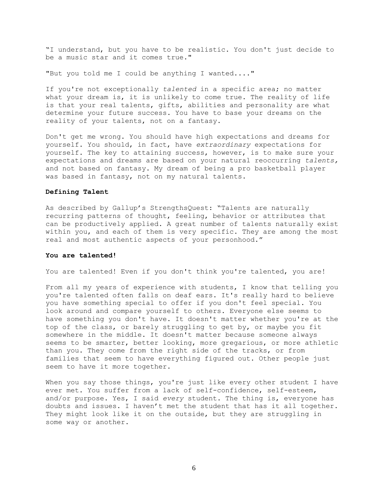"I understand, but you have to be realistic. You don't just decide to be a music star and it comes true."

"But you told me I could be anything I wanted...."

If you're not exceptionally *talented* in a specific area; no matter what your dream is, it is unlikely to come true. The reality of life is that your real talents, gifts, abilities and personality are what determine your future success. You have to base your dreams on the reality of your talents, not on a fantasy.

Don't get me wrong. You should have high expectations and dreams for yourself. You should, in fact, have *extraordinary* expectations for yourself. The key to attaining success, however, is to make sure your expectations and dreams are based on your natural reoccurring *talents,* and not based on fantasy. My dream of being a pro basketball player was based in fantasy, not on my natural talents.

## **Defining Talent**

As described by Gallup's StrengthsQuest: "Talents are naturally recurring patterns of thought, feeling, behavior or attributes that can be productively applied. A great number of talents naturally exist within you, and each of them is very specific. They are among the most real and most authentic aspects of your personhood."

#### **You are talented!**

You are talented! Even if you don't think you're talented, you are!

From all my years of experience with students, I know that telling you you're talented often falls on deaf ears. It's really hard to believe you have something special to offer if you don't feel special. You look around and compare yourself to others. Everyone else seems to have something you don't have. It doesn't matter whether you're at the top of the class, or barely struggling to get by, or maybe you fit somewhere in the middle. It doesn't matter because someone always seems to be smarter, better looking, more gregarious, or more athletic than you. They come from the right side of the tracks, or from families that seem to have everything figured out. Other people just seem to have it more together.

When you say those things, you're just like every other student I have ever met. You suffer from a lack of self-confidence, self-esteem, and/or purpose. Yes, I said *every* student. The thing is, everyone has doubts and issues. I haven't met the student that has it all together. They might look like it on the outside, but they are struggling in some way or another.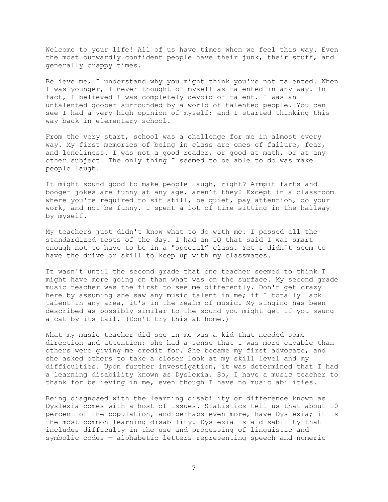Welcome to your life! All of us have times when we feel this way. Even the most outwardly confident people have their junk, their stuff, and generally crappy times.

Believe me, I understand why you might think you're not talented. When I was younger, I never thought of myself as talented in any way. In fact, I believed I was completely devoid of talent. I was an untalented goober surrounded by a world of talented people. You can see I had a very high opinion of myself; and I started thinking this way back in elementary school.

From the very start, school was a challenge for me in almost every way. My first memories of being in class are ones of failure, fear, and loneliness. I was not a good reader, or good at math, or at any other subject. The only thing I seemed to be able to do was make people laugh.

It might sound good to make people laugh, right? Armpit farts and booger jokes are funny at any age, aren't they? Except in a classroom where you're required to sit still, be quiet, pay attention, do your work, and not be funny. I spent a lot of time sitting in the hallway by myself.

My teachers just didn't know what to do with me. I passed all the standardized tests of the day. I had an IQ that said I was smart enough not to have to be in a "special" class. Yet I didn't seem to have the drive or skill to keep up with my classmates.

It wasn't until the second grade that one teacher seemed to think I might have more going on than what was on the surface. My second grade music teacher was the first to see me differently. Don't get crazy here by assuming she saw any music talent in me; if I totally lack talent in any area, it's in the realm of music. My singing has been described as possibly similar to the sound you might get if you swung a cat by its tail. (Don't try this at home.)

What my music teacher did see in me was a kid that needed some direction and attention; she had a sense that I was more capable than others were giving me credit for. She became my first advocate, and she asked others to take a closer look at my skill level and my difficulties. Upon further investigation, it was determined that I had a learning disability known as Dyslexia. So, I have a music teacher to thank for believing in me, even though I have no music abilities.

Being diagnosed with the learning disability or difference known as Dyslexia comes with a host of issues. Statistics tell us that about 10 percent of the population, and perhaps even more, have Dyslexia; it is the most common learning disability. Dyslexia is a disability that includes difficulty in the use and processing of linguistic and symbolic codes — alphabetic letters representing speech and numeric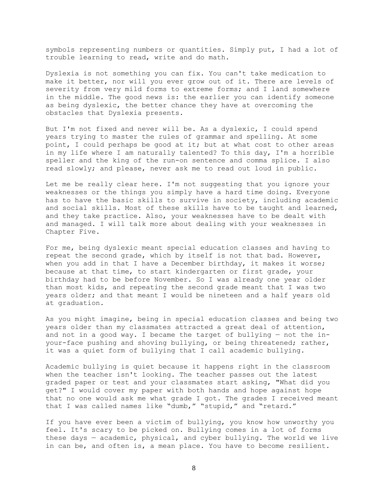symbols representing numbers or quantities. Simply put, I had a lot of trouble learning to read, write and do math.

Dyslexia is not something you can fix. You can't take medication to make it better, nor will you ever grow out of it. There are levels of severity from very mild forms to extreme forms; and I land somewhere in the middle. The good news is: the earlier you can identify someone as being dyslexic, the better chance they have at overcoming the obstacles that Dyslexia presents.

But I'm not fixed and never will be. As a dyslexic, I could spend years trying to master the rules of grammar and spelling. At some point, I could perhaps be good at it; but at what cost to other areas in my life where I am naturally talented? To this day, I'm a horrible speller and the king of the run-on sentence and comma splice. I also read slowly; and please, never ask me to read out loud in public.

Let me be really clear here. I'm not suggesting that you ignore your weaknesses or the things you simply have a hard time doing. Everyone has to have the basic skills to survive in society, including academic and social skills. Most of these skills have to be taught and learned, and they take practice. Also, your weaknesses have to be dealt with and managed. I will talk more about dealing with your weaknesses in Chapter Five.

For me, being dyslexic meant special education classes and having to repeat the second grade, which by itself is not that bad. However, when you add in that I have a December birthday, it makes it worse; because at that time, to start kindergarten or first grade, your birthday had to be before November. So I was already one year older than most kids, and repeating the second grade meant that I was two years older; and that meant I would be nineteen and a half years old at graduation.

As you might imagine, being in special education classes and being two years older than my classmates attracted a great deal of attention, and not in a good way. I became the target of bullying — not the inyour-face pushing and shoving bullying, or being threatened; rather, it was a quiet form of bullying that I call academic bullying.

Academic bullying is quiet because it happens right in the classroom when the teacher isn't looking. The teacher passes out the latest graded paper or test and your classmates start asking, "What did you get?" I would cover my paper with both hands and hope against hope that no one would ask me what grade I got. The grades I received meant that I was called names like "dumb," "stupid," and "retard."

If you have ever been a victim of bullying, you know how unworthy you feel. It's scary to be picked on. Bullying comes in a lot of forms these days — academic, physical, and cyber bullying. The world we live in can be, and often is, a mean place. You have to become resilient.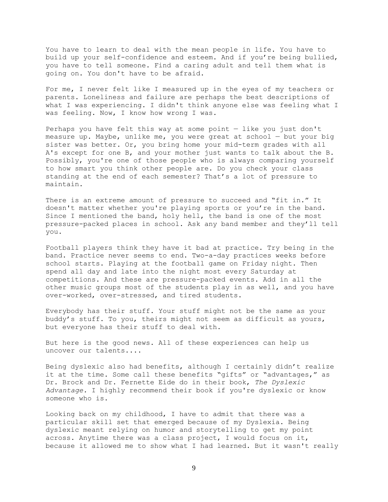You have to learn to deal with the mean people in life. You have to build up your self-confidence and esteem. And if you're being bullied, you have to tell someone. Find a caring adult and tell them what is going on. You don't have to be afraid.

For me, I never felt like I measured up in the eyes of my teachers or parents. Loneliness and failure are perhaps the best descriptions of what I was experiencing. I didn't think anyone else was feeling what I was feeling. Now, I know how wrong I was.

Perhaps you have felt this way at some point — like you just don't measure up. Maybe, unlike me, you were great at school — but your big sister was better. Or, you bring home your mid-term grades with all A's except for one B, and your mother just wants to talk about the B. Possibly, you're one of those people who is always comparing yourself to how smart you think other people are. Do you check your class standing at the end of each semester? That's a lot of pressure to maintain.

There is an extreme amount of pressure to succeed and "fit in." It doesn't matter whether you're playing sports or you're in the band. Since I mentioned the band, holy hell, the band is one of the most pressure-packed places in school. Ask any band member and they'll tell you.

Football players think they have it bad at practice. Try being in the band. Practice never seems to end. Two-a-day practices weeks before school starts. Playing at the football game on Friday night. Then spend all day and late into the night most every Saturday at competitions. And these are pressure-packed events. Add in all the other music groups most of the students play in as well, and you have over-worked, over-stressed, and tired students.

Everybody has their stuff. Your stuff might not be the same as your buddy's stuff. To you, theirs might not seem as difficult as yours, but everyone has their stuff to deal with.

But here is the good news. All of these experiences can help us uncover our talents....

Being dyslexic also had benefits, although I certainly didn't realize it at the time. Some call these benefits "gifts" or "advantages," as Dr. Brock and Dr. Fernette Eide do in their book, *The Dyslexic Advantage.* I highly recommend their book if you're dyslexic or know someone who is.

Looking back on my childhood, I have to admit that there was a particular skill set that emerged because of my Dyslexia. Being dyslexic meant relying on humor and storytelling to get my point across. Anytime there was a class project, I would focus on it, because it allowed me to show what I had learned. But it wasn't really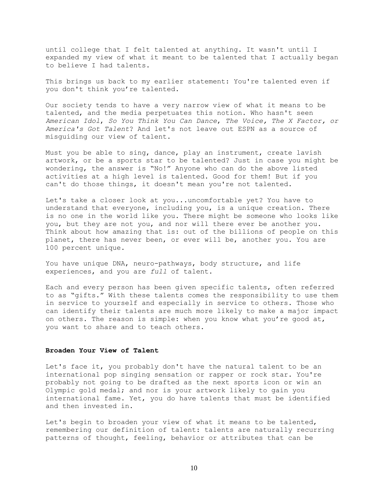until college that I felt talented at anything. It wasn't until I expanded my view of what it meant to be talented that I actually began to believe I had talents.

This brings us back to my earlier statement: You're talented even if you don't think you're talented.

Our society tends to have a very narrow view of what it means to be talented, and the media perpetuates this notion. Who hasn't seen *American Idol*, *So You Think You Can Dance*, *The Voice, The X Factor, or America's Got Talent*? And let's not leave out ESPN as a source of misguiding our view of talent.

Must you be able to sing, dance, play an instrument, create lavish artwork, or be a sports star to be talented? Just in case you might be wondering, the answer is "No!" Anyone who can do the above listed activities at a high level is talented. Good for them! But if you can't do those things, it doesn't mean you're not talented.

Let's take a closer look at you...uncomfortable yet? You have to understand that everyone, including you, is a unique creation. There is no one in the world like you. There might be someone who looks like you, but they are not you, and nor will there ever be another you. Think about how amazing that is: out of the billions of people on this planet, there has never been, or ever will be, another you. You are 100 percent unique.

You have unique DNA, neuro-pathways, body structure, and life experiences, and you are *full* of talent.

Each and every person has been given specific talents, often referred to as "gifts." With these talents comes the responsibility to use them in service to yourself and especially in service to others. Those who can identify their talents are much more likely to make a major impact on others. The reason is simple: when you know what you're good at, you want to share and to teach others.

## **Broaden Your View of Talent**

Let's face it, you probably don't have the natural talent to be an international pop singing sensation or rapper or rock star. You're probably not going to be drafted as the next sports icon or win an Olympic gold medal; and nor is your artwork likely to gain you international fame. Yet, you do have talents that must be identified and then invested in.

Let's begin to broaden your view of what it means to be talented, remembering our definition of talent: talents are naturally recurring patterns of thought, feeling, behavior or attributes that can be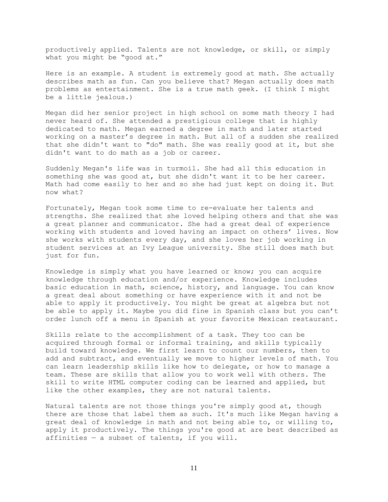productively applied. Talents are not knowledge, or skill, or simply what you might be "good at."

Here is an example. A student is extremely good at math. She actually describes math as fun. Can you believe that? Megan actually does math problems as entertainment. She is a true math geek. (I think I might be a little jealous.)

Megan did her senior project in high school on some math theory I had never heard of. She attended a prestigious college that is highly dedicated to math. Megan earned a degree in math and later started working on a master's degree in math. But all of a sudden she realized that she didn't want to "do" math. She was really good at it, but she didn't want to do math as a job or career.

Suddenly Megan's life was in turmoil. She had all this education in something she was good at, but she didn't want it to be her career. Math had come easily to her and so she had just kept on doing it. But now what?

Fortunately, Megan took some time to re-evaluate her talents and strengths. She realized that she loved helping others and that she was a great planner and communicator. She had a great deal of experience working with students and loved having an impact on others' lives. Now she works with students every day, and she loves her job working in student services at an Ivy League university. She still does math but just for fun.

Knowledge is simply what you have learned or know; you can acquire knowledge through education and/or experience. Knowledge includes basic education in math, science, history, and language. You can know a great deal about something or have experience with it and not be able to apply it productively. You might be great at algebra but not be able to apply it. Maybe you did fine in Spanish class but you can't order lunch off a menu in Spanish at your favorite Mexican restaurant.

Skills relate to the accomplishment of a task. They too can be acquired through formal or informal training, and skills typically build toward knowledge. We first learn to count our numbers, then to add and subtract, and eventually we move to higher levels of math. You can learn leadership skills like how to delegate, or how to manage a team. These are skills that allow you to work well with others. The skill to write HTML computer coding can be learned and applied, but like the other examples, they are not natural talents.

Natural talents are not those things you're simply good at, though there are those that label them as such. It's much like Megan having a great deal of knowledge in math and not being able to, or willing to, apply it productively. The things you're good at are best described as affinities  $-$  a subset of talents, if you will.

11